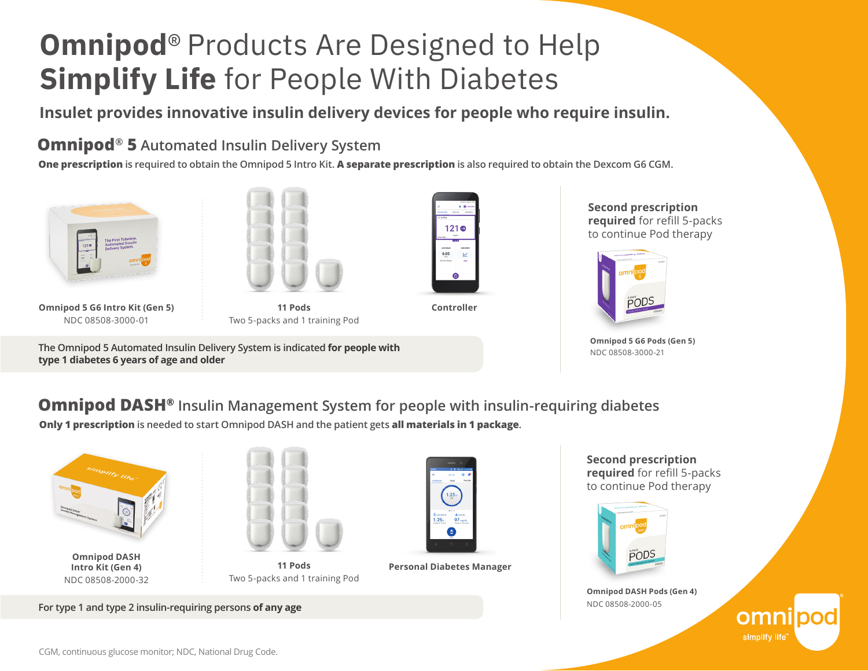# **Omnipod**® Products Are Designed to Help **Simplify Life** for People With Diabetes

**Insulet provides innovative insulin delivery devices for people who require insulin.**

#### **Omnipod® 5 Automated Insulin Delivery System**

**One prescription is required to obtain the Omnipod 5 Intro Kit. A separate prescription is also required to obtain the Dexcom G6 CGM.**



**Omnipod 5 G6 Intro Kit (Gen 5)** NDC 08508-3000-01



**11 Pods Controller** Two 5-packs and 1 training Pod

**The Omnipod 5 Automated Insulin Delivery System is indicated for people with type 1 diabetes 6 years of age and older**



**Second prescription required** for refill 5-packs to continue Pod therapy



**Omnipod 5 G6 Pods (Gen 5)** NDC 08508-3000-21

**Omnipod DASH® Insulin Management System for people with insulin-requiring diabetes**

**Only 1 prescription is needed to start Omnipod DASH and the patient gets all materials in 1 package.** 



**Omnipod DASH Intro Kit (Gen 4)** NDC 08508-2000-32



**11 Pods** Two 5-packs and 1 training Pod



**Personal Diabetes Manager** 

**Second prescription required** for refill 5-packs to continue Pod therapy



**Omnipod DASH Pods (Gen 4)**  NDC 08508-2000-05

> omr simplify life"

**For type 1 and type 2 insulin-requiring persons of any age**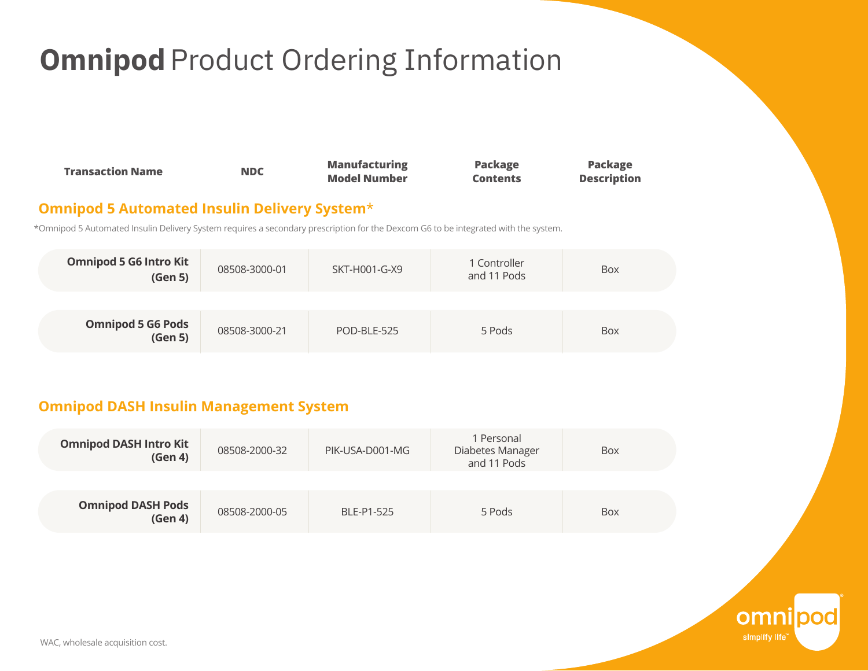## **Omnipod** Product Ordering Information

| <b>Transaction Name</b> | <b>Manufacturing</b> | <b>Package</b>  | <b>Package</b>     |
|-------------------------|----------------------|-----------------|--------------------|
| <b>NDC</b>              | <b>Model Number</b>  | <b>Contents</b> | <b>Description</b> |

#### **Omnipod 5 Automated Insulin Delivery System**\*

\*Omnipod 5 Automated Insulin Delivery System requires a secondary prescription for the Dexcom G6 to be integrated with the system.

| <b>Omnipod 5 G6 Intro Kit</b><br>(Gen 5) | 08508-3000-01 | SKT-H001-G-X9 | 1 Controller<br>and 11 Pods | <b>Box</b> |
|------------------------------------------|---------------|---------------|-----------------------------|------------|
|                                          |               |               |                             |            |
| <b>Omnipod 5 G6 Pods</b><br>(Gen 5)      | 08508-3000-21 | POD-BLE-525   | 5 Pods                      | Box        |

#### **Omnipod DASH Insulin Management System**

| <b>Omnipod DASH Intro Kit</b><br>(Gen 4) | 08508-2000-32 | PIK-USA-D001-MG | 1 Personal<br>Diabetes Manager<br>and 11 Pods | Box |
|------------------------------------------|---------------|-----------------|-----------------------------------------------|-----|
| <b>Omnipod DASH Pods</b><br>(Gen 4)      | 08508-2000-05 | BLE-P1-525      | 5 Pods                                        | Box |